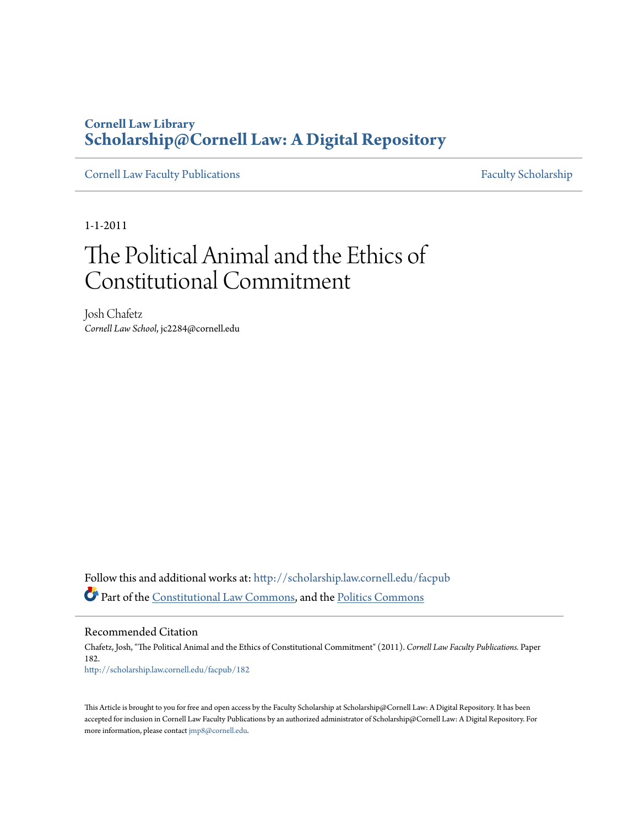# **Cornell Law Library [Scholarship@Cornell Law: A Digital Repository](http://scholarship.law.cornell.edu?utm_source=scholarship.law.cornell.edu%2Ffacpub%2F182&utm_medium=PDF&utm_campaign=PDFCoverPages)**

[Cornell Law Faculty Publications](http://scholarship.law.cornell.edu/facpub?utm_source=scholarship.law.cornell.edu%2Ffacpub%2F182&utm_medium=PDF&utm_campaign=PDFCoverPages) [Faculty Scholarship](http://scholarship.law.cornell.edu/facsch?utm_source=scholarship.law.cornell.edu%2Ffacpub%2F182&utm_medium=PDF&utm_campaign=PDFCoverPages)

1-1-2011

# The Political Animal and the Ethics of Constitutional Commitment

Josh Chafetz *Cornell Law School*, jc2284@cornell.edu

Follow this and additional works at: [http://scholarship.law.cornell.edu/facpub](http://scholarship.law.cornell.edu/facpub?utm_source=scholarship.law.cornell.edu%2Ffacpub%2F182&utm_medium=PDF&utm_campaign=PDFCoverPages) Part of the [Constitutional Law Commons,](http://network.bepress.com/hgg/discipline/589?utm_source=scholarship.law.cornell.edu%2Ffacpub%2F182&utm_medium=PDF&utm_campaign=PDFCoverPages) and the [Politics Commons](http://network.bepress.com/hgg/discipline/867?utm_source=scholarship.law.cornell.edu%2Ffacpub%2F182&utm_medium=PDF&utm_campaign=PDFCoverPages)

Recommended Citation

Chafetz, Josh, "The Political Animal and the Ethics of Constitutional Commitment" (2011). *Cornell Law Faculty Publications.* Paper 182. [http://scholarship.law.cornell.edu/facpub/182](http://scholarship.law.cornell.edu/facpub/182?utm_source=scholarship.law.cornell.edu%2Ffacpub%2F182&utm_medium=PDF&utm_campaign=PDFCoverPages)

This Article is brought to you for free and open access by the Faculty Scholarship at Scholarship@Cornell Law: A Digital Repository. It has been accepted for inclusion in Cornell Law Faculty Publications by an authorized administrator of Scholarship@Cornell Law: A Digital Repository. For more information, please contact [jmp8@cornell.edu.](mailto:jmp8@cornell.edu)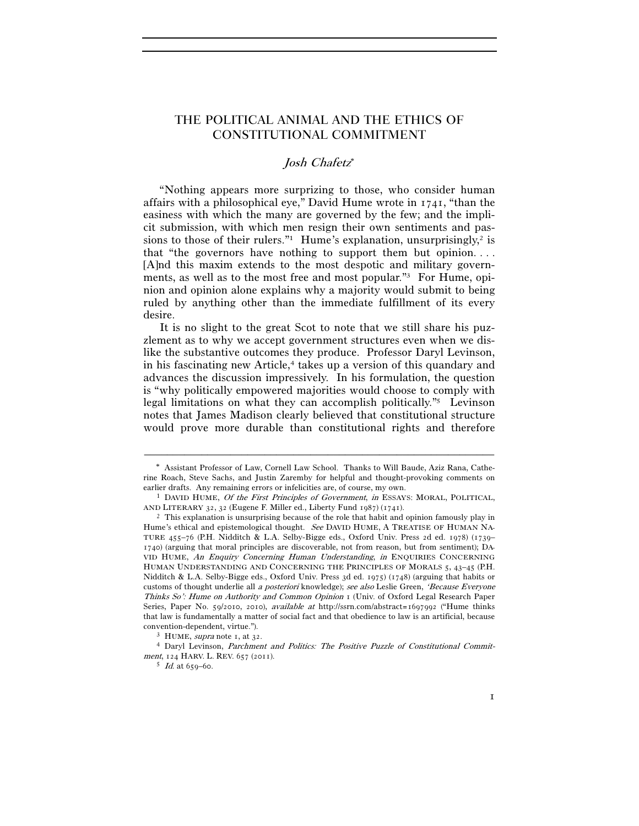## THE POLITICAL ANIMAL AND THE ETHICS OF CONSTITUTIONAL COMMITMENT

### Josh Chafetz

"Nothing appears more surprizing to those, who consider human affairs with a philosophical eye," David Hume wrote in 1741, "than the easiness with which the many are governed by the few; and the implicit submission, with which men resign their own sentiments and passions to those of their rulers."<sup>1</sup> Hume's explanation, unsurprisingly,<sup>2</sup> is that "the governors have nothing to support them but opinion. . . . [A]nd this maxim extends to the most despotic and military governments, as well as to the most free and most popular."3 For Hume, opinion and opinion alone explains why a majority would submit to being ruled by anything other than the immediate fulfillment of its every desire.

It is no slight to the great Scot to note that we still share his puzzlement as to why we accept government structures even when we dislike the substantive outcomes they produce. Professor Daryl Levinson, in his fascinating new Article,<sup>4</sup> takes up a version of this quandary and advances the discussion impressively. In his formulation, the question is "why politically empowered majorities would choose to comply with legal limitations on what they can accomplish politically."5 Levinson notes that James Madison clearly believed that constitutional structure would prove more durable than constitutional rights and therefore

Assistant Professor of Law, Cornell Law School. Thanks to Will Baude, Aziz Rana, Catherine Roach, Steve Sachs, and Justin Zaremby for helpful and thought-provoking comments on

earlier drafts. Any remaining errors or infelicities are, of course, my own.<br><sup>1</sup> DAVID HUME, *Of the First Principles of Government*, *in* ESSAYS: MORAL, POLITICAL, AND LITERARY 32, 32 (Eugene F. Miller ed., Liberty Fund

 $^2$  This explanation is unsurprising because of the role that habit and opinion famously play in Hume's ethical and epistemological thought. See DAVID HUME, A TREATISE OF HUMAN NA-TURE 455–76 (P.H. Nidditch & L.A. Selby-Bigge eds., Oxford Univ. Press 2d ed. 1978) (1739– 1740) (arguing that moral principles are discoverable, not from reason, but from sentiment); DA-VID HUME, An Enquiry Concerning Human Understanding, in ENQUIRIES CONCERNING HUMAN UNDERSTANDING AND CONCERNING THE PRINCIPLES OF MORALS 5, 43–45 (P.H. Nidditch & L.A. Selby-Bigge eds., Oxford Univ. Press 3d ed. 1975) (1748) (arguing that habits or customs of thought underlie all a posteriori knowledge); see also Leslie Green, 'Because Everyone Thinks So': Hume on Authority and Common Opinion 1 (Univ. of Oxford Legal Research Paper Series, Paper No. 59/2010, 2010), available at http://ssrn.com/abstract=1697992 ("Hume thinks that law is fundamentally a matter of social fact and that obedience to law is an artificial, because convention-dependent, virtue.").<br>
<sup>3</sup> HUME, *supra* note 1, at 32.<br>
<sup>4</sup> Daryl Levinson, *Parchment and Politics: The Positive Puzzle of Constitutional Commit-*

ment, 124 HARV. L. REV. 657 (2011).<br><sup>5</sup> Id. at 659–60.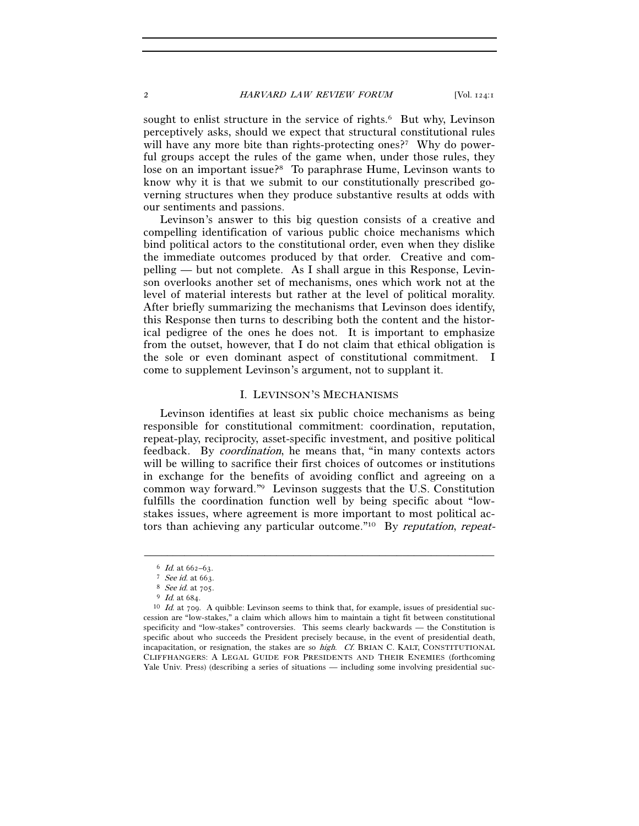sought to enlist structure in the service of rights.<sup>6</sup> But why, Levinson perceptively asks, should we expect that structural constitutional rules will have any more bite than rights-protecting ones?<sup>7</sup> Why do powerful groups accept the rules of the game when, under those rules, they lose on an important issue?8 To paraphrase Hume, Levinson wants to know why it is that we submit to our constitutionally prescribed governing structures when they produce substantive results at odds with our sentiments and passions.

Levinson's answer to this big question consists of a creative and compelling identification of various public choice mechanisms which bind political actors to the constitutional order, even when they dislike the immediate outcomes produced by that order. Creative and compelling — but not complete. As I shall argue in this Response, Levinson overlooks another set of mechanisms, ones which work not at the level of material interests but rather at the level of political morality. After briefly summarizing the mechanisms that Levinson does identify, this Response then turns to describing both the content and the historical pedigree of the ones he does not. It is important to emphasize from the outset, however, that I do not claim that ethical obligation is the sole or even dominant aspect of constitutional commitment. I come to supplement Levinson's argument, not to supplant it.

#### I. LEVINSON'S MECHANISMS

Levinson identifies at least six public choice mechanisms as being responsible for constitutional commitment: coordination, reputation, repeat-play, reciprocity, asset-specific investment, and positive political feedback. By coordination, he means that, "in many contexts actors will be willing to sacrifice their first choices of outcomes or institutions in exchange for the benefits of avoiding conflict and agreeing on a common way forward."9 Levinson suggests that the U.S. Constitution fulfills the coordination function well by being specific about "lowstakes issues, where agreement is more important to most political actors than achieving any particular outcome."10 By reputation, repeat-

<sup>6</sup> Id. at 662–63.<br>
<sup>7</sup> See id. at 663.<br>
<sup>8</sup> See id. at 705.<br>
<sup>9</sup> Id. at 684.<br>
<sup>10</sup> Id. at 709. A quibble: Levinson seems to think that, for example, issues of presidential succession are "low-stakes," a claim which allows him to maintain a tight fit between constitutional specificity and "low-stakes" controversies. This seems clearly backwards — the Constitution is specific about who succeeds the President precisely because, in the event of presidential death, incapacitation, or resignation, the stakes are so high. Cf. BRIAN C. KALT, CONSTITUTIONAL CLIFFHANGERS: A LEGAL GUIDE FOR PRESIDENTS AND THEIR ENEMIES (forthcoming Yale Univ. Press) (describing a series of situations — including some involving presidential suc-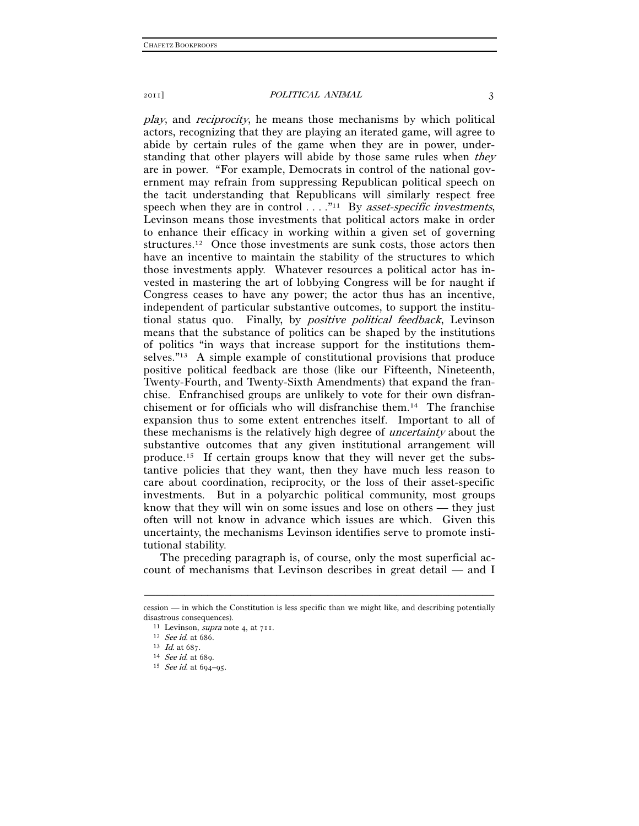play, and reciprocity, he means those mechanisms by which political actors, recognizing that they are playing an iterated game, will agree to abide by certain rules of the game when they are in power, understanding that other players will abide by those same rules when *they* are in power. "For example, Democrats in control of the national government may refrain from suppressing Republican political speech on the tacit understanding that Republicans will similarly respect free speech when they are in control  $\dots$ ."<sup>11</sup> By *asset-specific investments*, Levinson means those investments that political actors make in order to enhance their efficacy in working within a given set of governing structures.12 Once those investments are sunk costs, those actors then have an incentive to maintain the stability of the structures to which those investments apply. Whatever resources a political actor has invested in mastering the art of lobbying Congress will be for naught if Congress ceases to have any power; the actor thus has an incentive, independent of particular substantive outcomes, to support the institutional status quo. Finally, by positive political feedback, Levinson means that the substance of politics can be shaped by the institutions of politics "in ways that increase support for the institutions themselves."13 A simple example of constitutional provisions that produce positive political feedback are those (like our Fifteenth, Nineteenth, Twenty-Fourth, and Twenty-Sixth Amendments) that expand the franchise. Enfranchised groups are unlikely to vote for their own disfranchisement or for officials who will disfranchise them.14 The franchise expansion thus to some extent entrenches itself. Important to all of these mechanisms is the relatively high degree of uncertainty about the substantive outcomes that any given institutional arrangement will produce.15 If certain groups know that they will never get the substantive policies that they want, then they have much less reason to care about coordination, reciprocity, or the loss of their asset-specific investments. But in a polyarchic political community, most groups know that they will win on some issues and lose on others — they just often will not know in advance which issues are which. Given this uncertainty, the mechanisms Levinson identifies serve to promote institutional stability.

The preceding paragraph is, of course, only the most superficial account of mechanisms that Levinson describes in great detail — and I

<sup>–––––––––––––––––––––––––––––––––––––––––––––––––––––––––––––</sup> cession — in which the Constitution is less specific than we might like, and describing potentially disastrous consequences).<br>
<sup>11</sup> Levinson, *supra* note 4, at 711.<br>
<sup>12</sup> See id. at 686.<br>
<sup>13</sup> Id. at 687.<br>
<sup>14</sup> See id. at 689.<br>
<sup>15</sup> See id. at 694–95.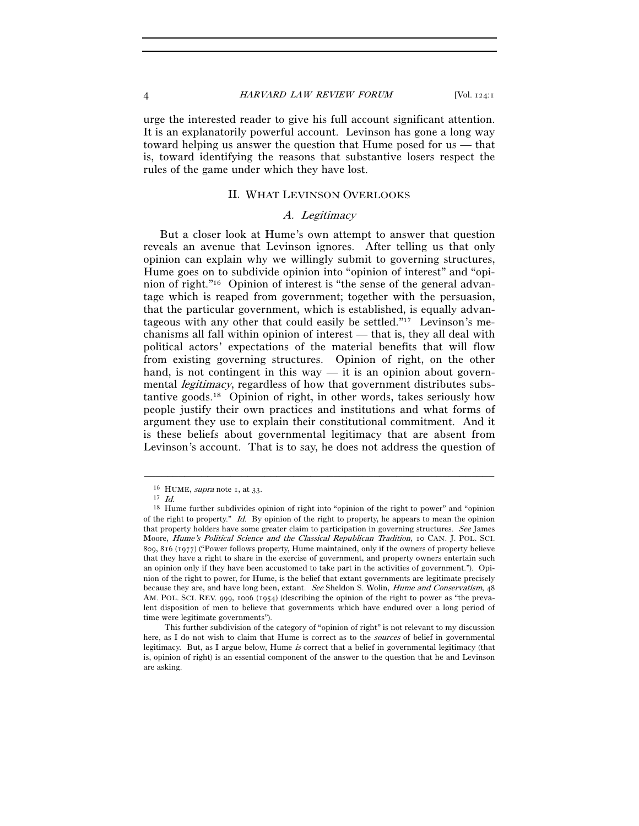urge the interested reader to give his full account significant attention. It is an explanatorily powerful account. Levinson has gone a long way toward helping us answer the question that Hume posed for us — that is, toward identifying the reasons that substantive losers respect the rules of the game under which they have lost.

#### II. WHAT LEVINSON OVERLOOKS

#### A. Legitimacy

But a closer look at Hume's own attempt to answer that question reveals an avenue that Levinson ignores. After telling us that only opinion can explain why we willingly submit to governing structures, Hume goes on to subdivide opinion into "opinion of interest" and "opinion of right."16 Opinion of interest is "the sense of the general advantage which is reaped from government; together with the persuasion, that the particular government, which is established, is equally advantageous with any other that could easily be settled."17 Levinson's mechanisms all fall within opinion of interest — that is, they all deal with political actors' expectations of the material benefits that will flow from existing governing structures. Opinion of right, on the other hand, is not contingent in this way  $-$  it is an opinion about governmental *legitimacy*, regardless of how that government distributes substantive goods.18 Opinion of right, in other words, takes seriously how people justify their own practices and institutions and what forms of argument they use to explain their constitutional commitment. And it is these beliefs about governmental legitimacy that are absent from Levinson's account. That is to say, he does not address the question of

<sup>&</sup>lt;sup>16</sup> HUME, *supra* note 1, at 33.<br><sup>17</sup> Id. 18 Hume further subdivides opinion of right into "opinion of the right to power" and "opinion of the right to property." Id. By opinion of the right to property, he appears to mean the opinion that property holders have some greater claim to participation in governing structures. See James Moore, Hume's Political Science and the Classical Republican Tradition, 10 CAN. J. POL. SCI. 809, 816 (1977) ("Power follows property, Hume maintained, only if the owners of property believe that they have a right to share in the exercise of government, and property owners entertain such an opinion only if they have been accustomed to take part in the activities of government."). Opinion of the right to power, for Hume, is the belief that extant governments are legitimate precisely because they are, and have long been, extant. See Sheldon S. Wolin, Hume and Conservatism, 48 AM. POL. SCI. REV. 999, 1006 (1954) (describing the opinion of the right to power as "the prevalent disposition of men to believe that governments which have endured over a long period of time were legitimate governments").

This further subdivision of the category of "opinion of right" is not relevant to my discussion here, as I do not wish to claim that Hume is correct as to the *sources* of belief in governmental legitimacy. But, as I argue below, Hume is correct that a belief in governmental legitimacy (that is, opinion of right) is an essential component of the answer to the question that he and Levinson are asking.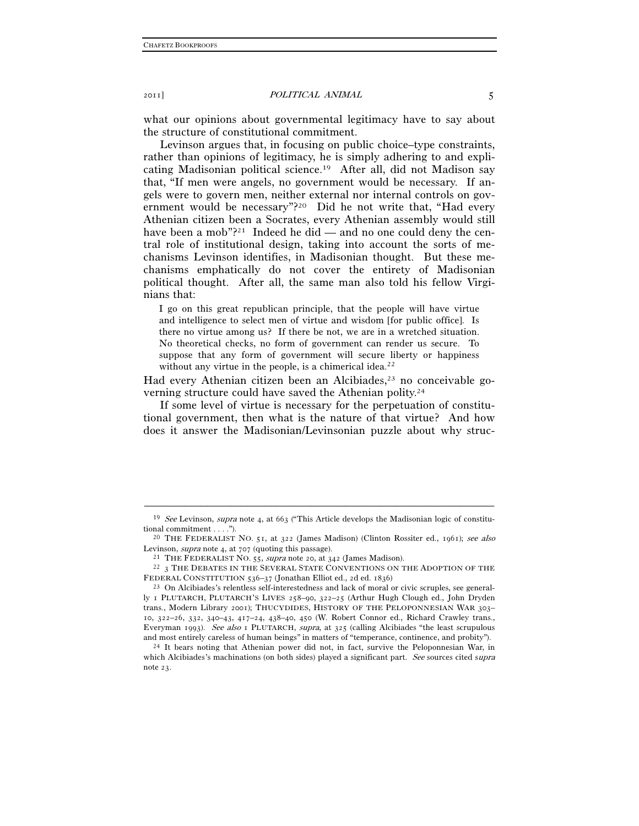what our opinions about governmental legitimacy have to say about the structure of constitutional commitment.

Levinson argues that, in focusing on public choice–type constraints, rather than opinions of legitimacy, he is simply adhering to and explicating Madisonian political science.19 After all, did not Madison say that, "If men were angels, no government would be necessary. If angels were to govern men, neither external nor internal controls on government would be necessary"?<sup>20</sup> Did he not write that, "Had every Athenian citizen been a Socrates, every Athenian assembly would still have been a mob"?21 Indeed he did — and no one could deny the central role of institutional design, taking into account the sorts of mechanisms Levinson identifies, in Madisonian thought. But these mechanisms emphatically do not cover the entirety of Madisonian political thought. After all, the same man also told his fellow Virginians that:

I go on this great republican principle, that the people will have virtue and intelligence to select men of virtue and wisdom [for public office]. Is there no virtue among us? If there be not, we are in a wretched situation. No theoretical checks, no form of government can render us secure. To suppose that any form of government will secure liberty or happiness without any virtue in the people, is a chimerical idea. $22$ 

Had every Athenian citizen been an Alcibiades,<sup>23</sup> no conceivable governing structure could have saved the Athenian polity.24

If some level of virtue is necessary for the perpetuation of constitutional government, then what is the nature of that virtue? And how does it answer the Madisonian/Levinsonian puzzle about why struc-

<sup>–––––––––––––––––––––––––––––––––––––––––––––––––––––––––––––</sup> <sup>19</sup> See Levinson, supra note 4, at 663 ("This Article develops the Madisonian logic of constitutional commitment . . . .").<br><sup>20</sup> THE FEDERALIST NO. 51, at 322 (James Madison) (Clinton Rossiter ed., 1961); *see also* 

Levinson, *supra* note 4, at 707 (quoting this passage).<br><sup>21</sup> THE FEDERALIST NO. 55, *supra* note 20, at 342 (James Madison).<br><sup>22</sup> 3 THE DEBATES IN THE SEVERAL STATE CONVENTIONS ON THE ADOPTION OF THE

FEDERAL CONSTITUTION 536–37 (Jonathan Elliot ed., 2d ed. 1836)<br><sup>23</sup> On Alcibiades's relentless self-interestedness and lack of moral or civic scruples, see general-

ly 1 PLUTARCH, PLUTARCH'S LIVES 258–90, 322–25 (Arthur Hugh Clough ed., John Dryden trans., Modern Library 2001); THUCYDIDES, HISTORY OF THE PELOPONNESIAN WAR 303– 10, 322–26, 332, 340–43, 417–24, 438–40, 450 (W. Robert Connor ed., Richard Crawley trans., Everyman 1993). See also 1 PLUTARCH, supra, at 325 (calling Alcibiades "the least scrupulous and most entirely careless of human beings" in matters of "temperance, continence, and probity").<br><sup>24</sup> It bears noting that Athenian power did not, in fact, survive the Peloponnesian War, in

which Alcibiades's machinations (on both sides) played a significant part. See sources cited supra note 23.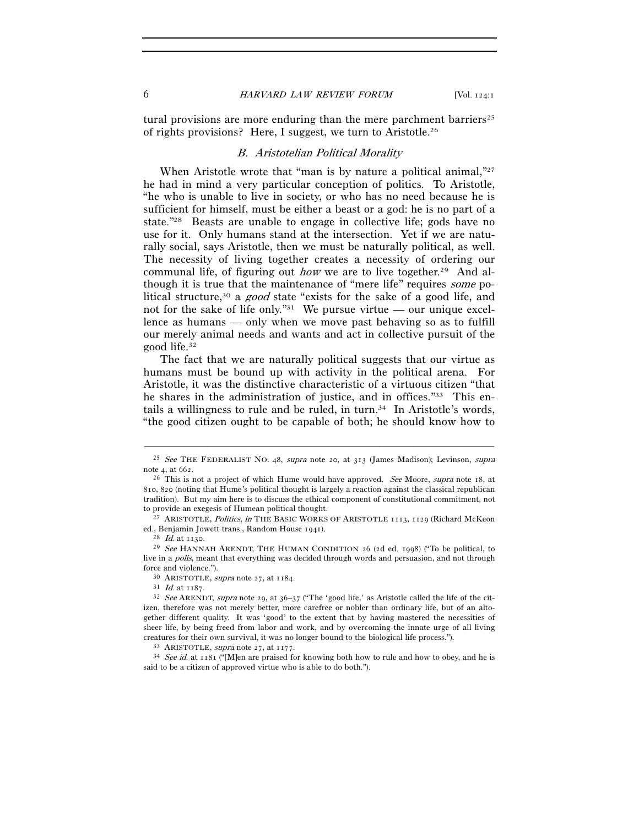tural provisions are more enduring than the mere parchment barriers<sup>25</sup> of rights provisions? Here, I suggest, we turn to Aristotle.26

#### B. Aristotelian Political Morality

When Aristotle wrote that "man is by nature a political animal,"27 he had in mind a very particular conception of politics. To Aristotle, "he who is unable to live in society, or who has no need because he is sufficient for himself, must be either a beast or a god: he is no part of a state."28 Beasts are unable to engage in collective life; gods have no use for it. Only humans stand at the intersection. Yet if we are naturally social, says Aristotle, then we must be naturally political, as well. The necessity of living together creates a necessity of ordering our communal life, of figuring out *how* we are to live together.<sup>29</sup> And although it is true that the maintenance of "mere life" requires some political structure,<sup>30</sup> a good state "exists for the sake of a good life, and not for the sake of life only."<sup>31</sup> We pursue virtue — our unique excellence as humans — only when we move past behaving so as to fulfill our merely animal needs and wants and act in collective pursuit of the good life.32

The fact that we are naturally political suggests that our virtue as humans must be bound up with activity in the political arena. For Aristotle, it was the distinctive characteristic of a virtuous citizen "that he shares in the administration of justice, and in offices."33 This entails a willingness to rule and be ruled, in turn.<sup>34</sup> In Aristotle's words, "the good citizen ought to be capable of both; he should know how to

<sup>–––––––––––––––––––––––––––––––––––––––––––––––––––––––––––––</sup> <sup>25</sup> See THE FEDERALIST NO. 48, supra note 20, at 313 (James Madison); Levinson, supra note 4, at 662.

<sup>&</sup>lt;sup>26</sup> This is not a project of which Hume would have approved. *See* Moore, *supra* note 18, at 810, 820 (noting that Hume's political thought is largely a reaction against the classical republican tradition). But my aim here is to discuss the ethical component of constitutional commitment, not

to provide an exegesis of Humean political thought.<br><sup>27</sup> ARISTOTLE, *Politics, in* THE BASIC WORKS OF ARISTOTLE 1113, 1129 (Richard McKeon<br>ed., Benjamin Jowett trans., Random House 1941).

<sup>&</sup>lt;sup>28</sup> Id. at 1130. <sup>29</sup> See HANNAH ARENDT, THE HUMAN CONDITION 26 (2d ed. 1998) ("To be political, to live in a polis, meant that everything was decided through words and persuasion, and not through force and violence.").<br><sup>30</sup> ARISTOTLE, *supra* note 27, at 1184.<br><sup>31</sup> Id. at 1187.<br><sup>32</sup> See ARENDT, *supra* note 29, at 36–37 ("The 'good life,' as Aristotle called the life of the cit-

izen, therefore was not merely better, more carefree or nobler than ordinary life, but of an altogether different quality. It was 'good' to the extent that by having mastered the necessities of sheer life, by being freed from labor and work, and by overcoming the innate urge of all living creatures for their own survival, it was no longer bound to the biological life process.").<br><sup>33</sup> ARISTOTLE, *supra* note 27, at 1177.<br><sup>34</sup> See id. at 1181 ("[M]en are praised for knowing both how to rule and how to obey, a

said to be a citizen of approved virtue who is able to do both.").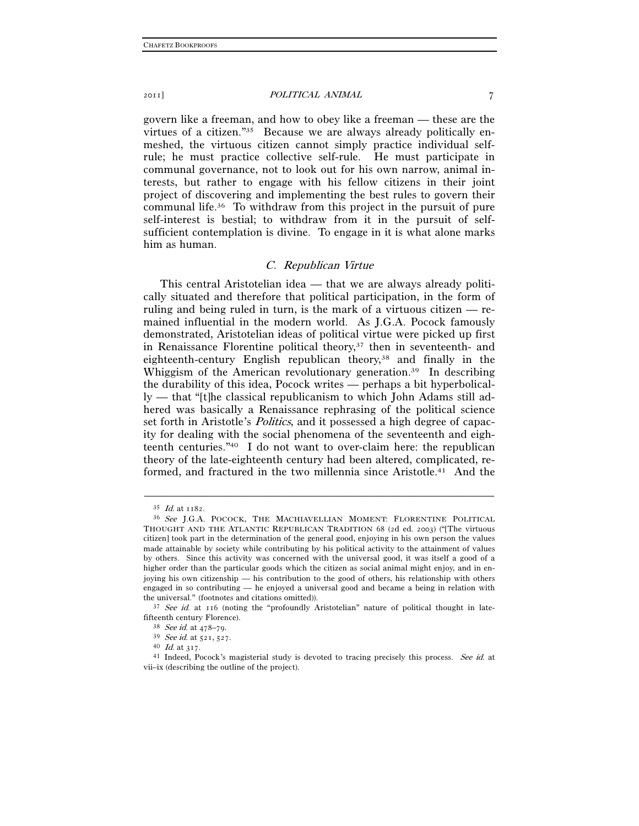govern like a freeman, and how to obey like a freeman — these are the virtues of a citizen."35 Because we are always already politically enmeshed, the virtuous citizen cannot simply practice individual selfrule; he must practice collective self-rule. He must participate in communal governance, not to look out for his own narrow, animal interests, but rather to engage with his fellow citizens in their joint project of discovering and implementing the best rules to govern their communal life.36 To withdraw from this project in the pursuit of pure self-interest is bestial; to withdraw from it in the pursuit of selfsufficient contemplation is divine. To engage in it is what alone marks him as human.

#### C. Republican Virtue

This central Aristotelian idea — that we are always already politically situated and therefore that political participation, in the form of ruling and being ruled in turn, is the mark of a virtuous citizen — remained influential in the modern world. As J.G.A. Pocock famously demonstrated, Aristotelian ideas of political virtue were picked up first in Renaissance Florentine political theory,<sup>37</sup> then in seventeenth- and eighteenth-century English republican theory,<sup>38</sup> and finally in the Whiggism of the American revolutionary generation.<sup>39</sup> In describing the durability of this idea, Pocock writes — perhaps a bit hyperbolically — that "[t]he classical republicanism to which John Adams still adhered was basically a Renaissance rephrasing of the political science set forth in Aristotle's *Politics*, and it possessed a high degree of capacity for dealing with the social phenomena of the seventeenth and eighteenth centuries."40 I do not want to over-claim here: the republican theory of the late-eighteenth century had been altered, complicated, reformed, and fractured in the two millennia since Aristotle.<sup>41</sup> And the

 $^{35}$   $\emph{Id}$  at 1182. <br>  $^{36}$   $\emph{See}$  J.G.A. POCOCK, THE MACHIAVELLIAN MOMENT: FLORENTINE POLITICAL THOUGHT AND THE ATLANTIC REPUBLICAN TRADITION 68 (2d ed. 2003) ("[The virtuous citizen] took part in the determination of the general good, enjoying in his own person the values made attainable by society while contributing by his political activity to the attainment of values by others. Since this activity was concerned with the universal good, it was itself a good of a higher order than the particular goods which the citizen as social animal might enjoy, and in enjoying his own citizenship — his contribution to the good of others, his relationship with others engaged in so contributing — he enjoyed a universal good and became a being in relation with

the universal." (footnotes and citations omitted)).  $37 \text{ See } id$  at 116 (noting the "profoundly Aristotelian" nature of political thought in late-<br>fifteenth century Florence).

For the century Fig. 38 See id. at  $478-79$ .<br>
39 See id. at  $521$ ,  $527$ .<br>
40 Id. at  $317$ .<br>
41 Indeed, Pocock's magisterial study is devoted to tracing precisely this process. See id. at vii–ix (describing the outline of the project).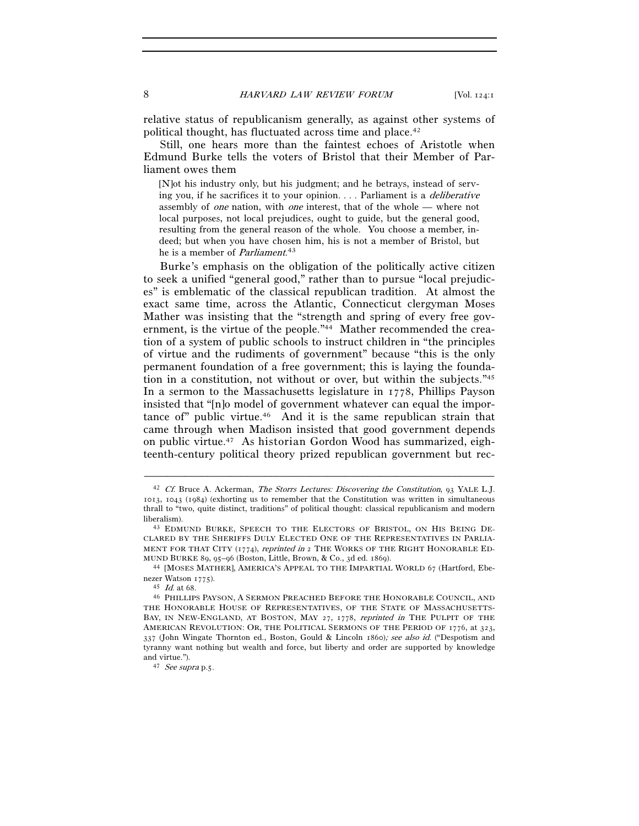relative status of republicanism generally, as against other systems of political thought, has fluctuated across time and place.42

Still, one hears more than the faintest echoes of Aristotle when Edmund Burke tells the voters of Bristol that their Member of Parliament owes them

[N]ot his industry only, but his judgment; and he betrays, instead of serving you, if he sacrifices it to your opinion. . . . Parliament is a deliberative assembly of one nation, with one interest, that of the whole — where not local purposes, not local prejudices, ought to guide, but the general good, resulting from the general reason of the whole. You choose a member, indeed; but when you have chosen him, his is not a member of Bristol, but he is a member of Parliament.<sup>43</sup>

Burke's emphasis on the obligation of the politically active citizen to seek a unified "general good," rather than to pursue "local prejudices" is emblematic of the classical republican tradition. At almost the exact same time, across the Atlantic, Connecticut clergyman Moses Mather was insisting that the "strength and spring of every free government, is the virtue of the people."<sup>44</sup> Mather recommended the creation of a system of public schools to instruct children in "the principles of virtue and the rudiments of government" because "this is the only permanent foundation of a free government; this is laying the foundation in a constitution, not without or over, but within the subjects."45 In a sermon to the Massachusetts legislature in 1778, Phillips Payson insisted that "[n]o model of government whatever can equal the importance of" public virtue.46 And it is the same republican strain that came through when Madison insisted that good government depends on public virtue.47 As historian Gordon Wood has summarized, eighteenth-century political theory prized republican government but rec-

<sup>42</sup> Cf. Bruce A. Ackerman, The Storrs Lectures: Discovering the Constitution, 93 YALE L.J. 1013, 1043 (1984) (exhorting us to remember that the Constitution was written in simultaneous thrall to "two, quite distinct, traditions" of political thought: classical republicanism and modern

liberalism). 43 EDMUND BURKE, SPEECH TO THE ELECTORS OF BRISTOL, ON HIS BEING DE-CLARED BY THE SHERIFFS DULY ELECTED ONE OF THE REPRESENTATIVES IN PARLIA-MENT FOR THAT CITY (1774), reprinted in 2 THE WORKS OF THE RIGHT HONORABLE ED-MUND BURKE <sup>89</sup>, 95–96 (Boston, Little, Brown, & Co., 3d ed. 1869). 44 [MOSES MATHER], AMERICA'S APPEAL TO THE IMPARTIAL WORLD <sup>67</sup> (Hartford, Ebe-

nezer Watson 1775).<br><sup>45</sup> Id. at 68. 46 PHILLIPS PAYSON, A SERMON PREACHED BEFORE THE HONORABLE COUNCIL, AND

THE HONORABLE HOUSE OF REPRESENTATIVES, OF THE STATE OF MASSACHUSETTS-BAY, IN NEW-ENGLAND, AT BOSTON, MAY 27, 1778, reprinted in THE PULPIT OF THE AMERICAN REVOLUTION: OR, THE POLITICAL SERMONS OF THE PERIOD OF 1776, at 323, 337 (John Wingate Thornton ed., Boston, Gould & Lincoln 1860); see also id. ("Despotism and tyranny want nothing but wealth and force, but liberty and order are supported by knowledge and virtue.").  $47 \text{ See supra p.5}.$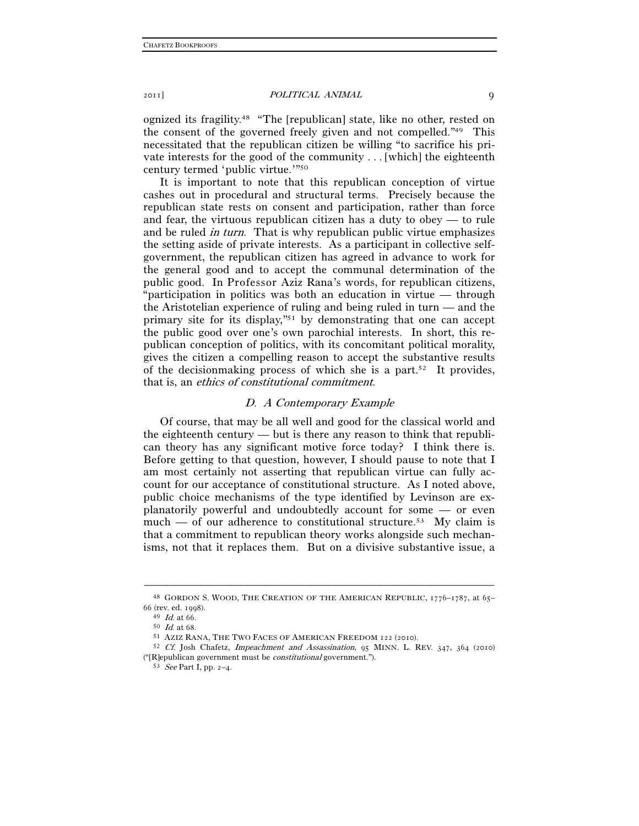ognized its fragility.48 "The [republican] state, like no other, rested on the consent of the governed freely given and not compelled."49 This necessitated that the republican citizen be willing "to sacrifice his private interests for the good of the community . . . [which] the eighteenth century termed 'public virtue.'"50

It is important to note that this republican conception of virtue cashes out in procedural and structural terms. Precisely because the republican state rests on consent and participation, rather than force and fear, the virtuous republican citizen has a duty to obey — to rule and be ruled in turn. That is why republican public virtue emphasizes the setting aside of private interests. As a participant in collective selfgovernment, the republican citizen has agreed in advance to work for the general good and to accept the communal determination of the public good. In Professor Aziz Rana's words, for republican citizens, "participation in politics was both an education in virtue — through the Aristotelian experience of ruling and being ruled in turn — and the primary site for its display,"51 by demonstrating that one can accept the public good over one's own parochial interests. In short, this republican conception of politics, with its concomitant political morality, gives the citizen a compelling reason to accept the substantive results of the decision making process of which she is a part.<sup>52</sup> It provides, that is, an ethics of constitutional commitment.

#### D. A Contemporary Example

Of course, that may be all well and good for the classical world and the eighteenth century — but is there any reason to think that republican theory has any significant motive force today? I think there is. Before getting to that question, however, I should pause to note that I am most certainly not asserting that republican virtue can fully account for our acceptance of constitutional structure. As I noted above, public choice mechanisms of the type identified by Levinson are explanatorily powerful and undoubtedly account for some — or even much — of our adherence to constitutional structure.53 My claim is that a commitment to republican theory works alongside such mechanisms, not that it replaces them. But on a divisive substantive issue, a

<sup>–––––––––––––––––––––––––––––––––––––––––––––––––––––––––––––</sup> 48 GORDON S. WOOD, THE CREATION OF THE AMERICAN REPUBLIC, 1776–1787, at 65– 66 (rev. ed. 1998).<br>
<sup>49</sup> Id. at 66.<br>
<sup>50</sup> Id. at 68.<br>
<sup>51</sup> AZIZ RANA, THE TWO FACES OF AMERICAN FREEDOM 122 (2010).<br>
<sup>52</sup> Cf. Josh Chafetz, *Impeachment and Assassination*, 95 MINN. L. REV. 347, 364 (2010)

<sup>(&</sup>quot;[R]epublican government must be *constitutional* government."). 53 See Part I, pp. 2–4.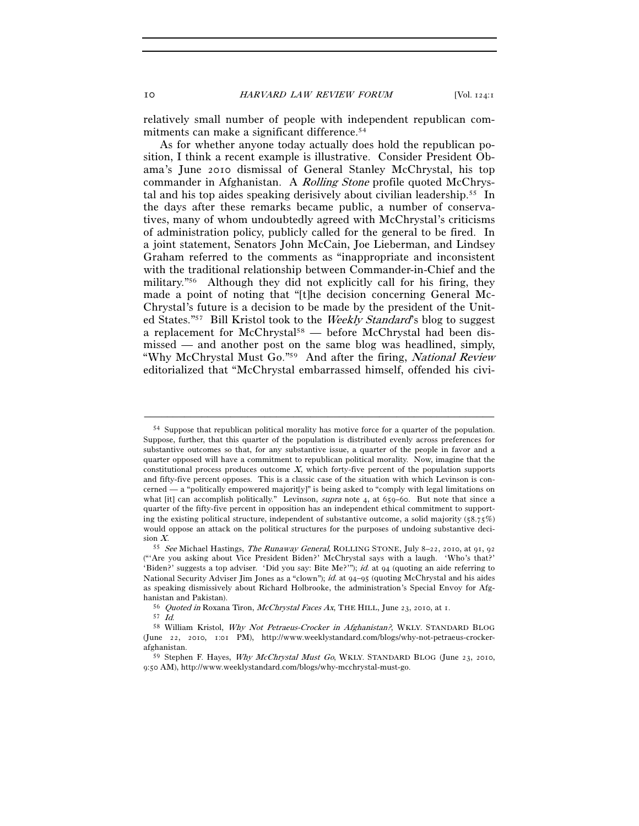relatively small number of people with independent republican commitments can make a significant difference.<sup>54</sup>

As for whether anyone today actually does hold the republican position, I think a recent example is illustrative. Consider President Obama's June 2010 dismissal of General Stanley McChrystal, his top commander in Afghanistan. A *Rolling Stone* profile quoted McChrystal and his top aides speaking derisively about civilian leadership.55 In the days after these remarks became public, a number of conservatives, many of whom undoubtedly agreed with McChrystal's criticisms of administration policy, publicly called for the general to be fired. In a joint statement, Senators John McCain, Joe Lieberman, and Lindsey Graham referred to the comments as "inappropriate and inconsistent with the traditional relationship between Commander-in-Chief and the military."56 Although they did not explicitly call for his firing, they made a point of noting that "[t]he decision concerning General Mc-Chrystal's future is a decision to be made by the president of the United States."57 Bill Kristol took to the Weekly Standard's blog to suggest a replacement for McChrystal<sup>58</sup> — before McChrystal had been dismissed — and another post on the same blog was headlined, simply, "Why McChrystal Must Go."59 And after the firing, National Review editorialized that "McChrystal embarrassed himself, offended his civi-

<sup>54</sup> Suppose that republican political morality has motive force for a quarter of the population. Suppose, further, that this quarter of the population is distributed evenly across preferences for substantive outcomes so that, for any substantive issue, a quarter of the people in favor and a quarter opposed will have a commitment to republican political morality. Now, imagine that the constitutional process produces outcome  $X$ , which forty-five percent of the population supports and fifty-five percent opposes. This is a classic case of the situation with which Levinson is concerned — a "politically empowered majority]" is being asked to "comply with legal limitations on what [it] can accomplish politically." Levinson, *supra* note 4, at 659–60. But note that since a quarter of the fifty-five percent in opposition has an independent ethical commitment to supporting the existing political structure, independent of substantive outcome, a solid majority  $(58.75%)$ would oppose an attack on the political structures for the purposes of undoing substantive decision X.<br><sup>55</sup> See Michael Hastings, *The Runaway General*, ROLLING STONE, July 8–22, 2010, at 91, 92

<sup>(&</sup>quot;'Are you asking about Vice President Biden?' McChrystal says with a laugh. 'Who's that?' 'Biden?' suggests a top adviser. 'Did you say: Bite Me?'"); id. at 94 (quoting an aide referring to National Security Adviser Jim Jones as a "clown"); id. at 94–95 (quoting McChrystal and his aides as speaking dismissively about Richard Holbrooke, the administration's Special Envoy for Afg-

hanistan and Pakistan). 56 Quoted in Roxana Tiron, McChrystal Faces Ax, THE HILL, June 23, 2010, at 1. 57 Id. 58 William Kristol, *Why Not Petraeus-Crocker in Afghanistan?*, WKLY. STANDARD BLOG

<sup>(</sup>June 22, 2010, 1:01 PM), http://www.weeklystandard.com/blogs/why-not-petraeus-crockerafghanistan.

<sup>59</sup> Stephen F. Hayes, Why McChrystal Must Go, WKLY. STANDARD BLOG (June 23, 2010, 9:50 AM), http://www.weeklystandard.com/blogs/why-mcchrystal-must-go.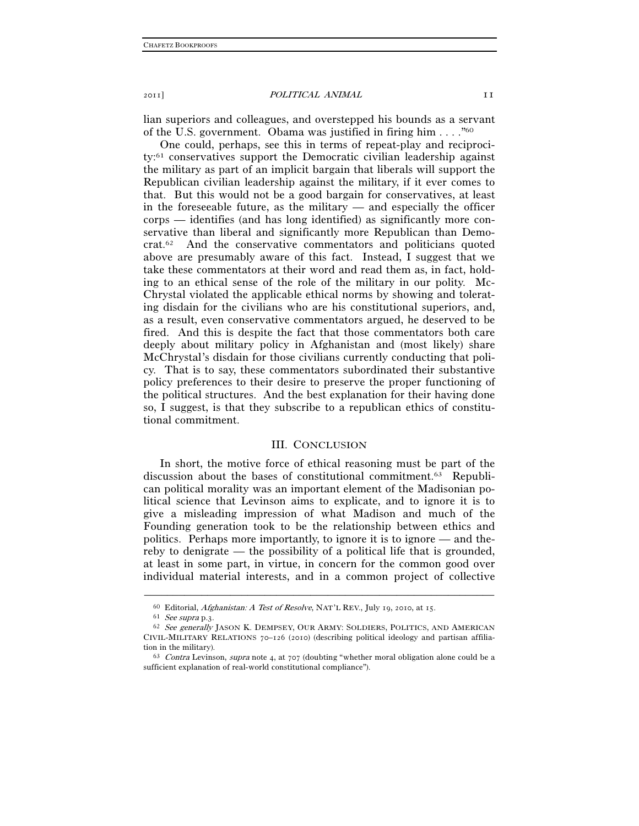lian superiors and colleagues, and overstepped his bounds as a servant of the U.S. government. Obama was justified in firing him . . . ."60

One could, perhaps, see this in terms of repeat-play and reciprocity:61 conservatives support the Democratic civilian leadership against the military as part of an implicit bargain that liberals will support the Republican civilian leadership against the military, if it ever comes to that. But this would not be a good bargain for conservatives, at least in the foreseeable future, as the military  $-$  and especially the officer corps — identifies (and has long identified) as significantly more conservative than liberal and significantly more Republican than Democrat.62 And the conservative commentators and politicians quoted above are presumably aware of this fact. Instead, I suggest that we take these commentators at their word and read them as, in fact, holding to an ethical sense of the role of the military in our polity. Mc-Chrystal violated the applicable ethical norms by showing and tolerating disdain for the civilians who are his constitutional superiors, and, as a result, even conservative commentators argued, he deserved to be fired. And this is despite the fact that those commentators both care deeply about military policy in Afghanistan and (most likely) share McChrystal's disdain for those civilians currently conducting that policy. That is to say, these commentators subordinated their substantive policy preferences to their desire to preserve the proper functioning of the political structures. And the best explanation for their having done so, I suggest, is that they subscribe to a republican ethics of constitutional commitment.

#### III. CONCLUSION

In short, the motive force of ethical reasoning must be part of the discussion about the bases of constitutional commitment.63 Republican political morality was an important element of the Madisonian political science that Levinson aims to explicate, and to ignore it is to give a misleading impression of what Madison and much of the Founding generation took to be the relationship between ethics and politics. Perhaps more importantly, to ignore it is to ignore — and thereby to denigrate — the possibility of a political life that is grounded, at least in some part, in virtue, in concern for the common good over individual material interests, and in a common project of collective

<sup>60</sup> Editorial, Afghanistan: A Test of Resolve, NAT'L REV., July 19, 2010, at 15.<br>
61 See supra p.3.<br>
62 See generally JASON K. DEMPSEY, OUR ARMY: SOLDIERS, POLITICS, AND AMERICAN CIVIL-MILITARY RELATIONS 70–126 (2010) (describing political ideology and partisan affiliation in the military).<br>  $63$  Contra Levinson, *supra* note 4, at 707 (doubting "whether moral obligation alone could be a

sufficient explanation of real-world constitutional compliance").